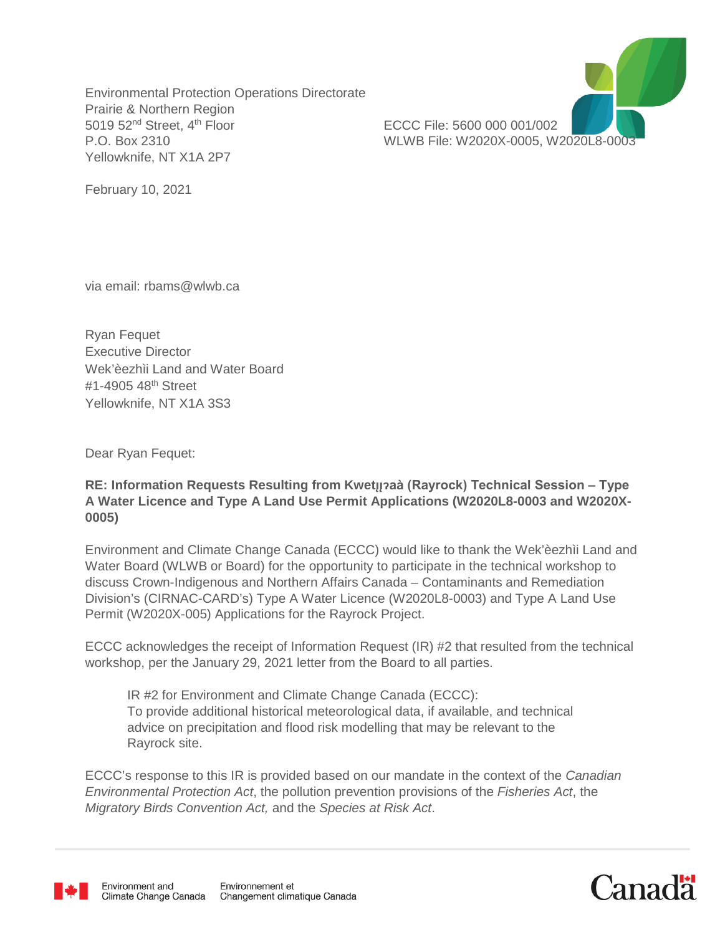Environmental Protection Operations Directorate Prairie & Northern Region 5019 52nd Street, 4th Floor ECCC File: 5600 000 001/002 P.O. Box 2310 WLWB File: W2020X-0005, W2020L8-0003 Yellowknife, NT X1A 2P7



February 10, 2021

via email: rbams@wlwb.ca

Ryan Fequet Executive Director Wek'èezhìi Land and Water Board #1-4905 48th Street Yellowknife, NT X1A 3S3

Dear Ryan Fequet:

## **RE: Information Requests Resulting from Kwet<sub></sub>** $\mu$ aà (Rayrock) Technical Session – Type **A Water Licence and Type A Land Use Permit Applications (W2020L8-0003 and W2020X-0005)**

Environment and Climate Change Canada (ECCC) would like to thank the Wek'èezhìi Land and Water Board (WLWB or Board) for the opportunity to participate in the technical workshop to discuss Crown-Indigenous and Northern Affairs Canada – Contaminants and Remediation Division's (CIRNAC-CARD's) Type A Water Licence (W2020L8-0003) and Type A Land Use Permit (W2020X-005) Applications for the Rayrock Project.

ECCC acknowledges the receipt of Information Request (IR) #2 that resulted from the technical workshop, per the January 29, 2021 letter from the Board to all parties.

IR #2 for Environment and Climate Change Canada (ECCC): To provide additional historical meteorological data, if available, and technical advice on precipitation and flood risk modelling that may be relevant to the Rayrock site.

ECCC's response to this IR is provided based on our mandate in the context of the *Canadian Environmental Protection Act*, the pollution prevention provisions of the *Fisheries Act*, the *Migratory Birds Convention Act,* and the *Species at Risk Act*.



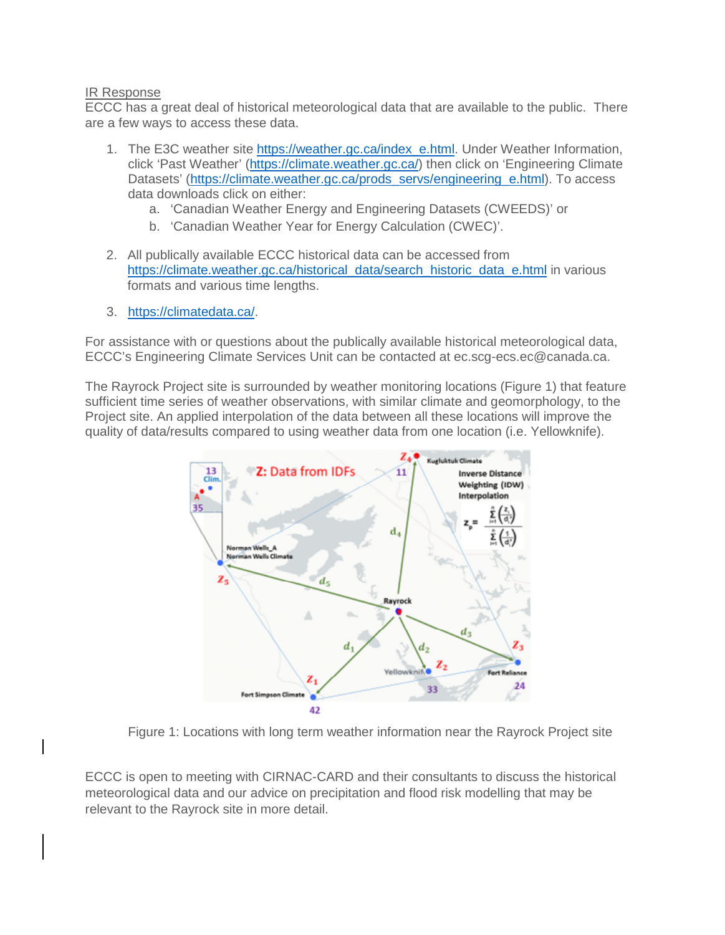## IR Response

ECCC has a great deal of historical meteorological data that are available to the public. There are a few ways to access these data.

- 1. The E3C weather site [https://weather.gc.ca/index\\_e.html.](https://weather.gc.ca/index_e.html) Under Weather Information, click 'Past Weather' [\(https://climate.weather.gc.ca/\)](https://climate.weather.gc.ca/) then click on 'Engineering Climate Datasets' [\(https://climate.weather.gc.ca/prods\\_servs/engineering\\_e.html\)](https://climate.weather.gc.ca/prods_servs/engineering_e.html). To access data downloads click on either:
	- a. 'Canadian Weather Energy and Engineering Datasets (CWEEDS)' or
	- b. 'Canadian Weather Year for Energy Calculation (CWEC)'.
- 2. All publically available ECCC historical data can be accessed from [https://climate.weather.gc.ca/historical\\_data/search\\_historic\\_data\\_e.html](https://climate.weather.gc.ca/historical_data/search_historic_data_e.html) in various formats and various time lengths.
- 3. [https://climatedata.ca/.](https://climatedata.ca/)

For assistance with or questions about the publically available historical meteorological data, ECCC's Engineering Climate Services Unit can be contacted at ec.scg-ecs.ec@canada.ca.

The Rayrock Project site is surrounded by weather monitoring locations (Figure 1) that feature sufficient time series of weather observations, with similar climate and geomorphology, to the Project site. An applied interpolation of the data between all these locations will improve the quality of data/results compared to using weather data from one location (i.e. Yellowknife).



Figure 1: Locations with long term weather information near the Rayrock Project site

ECCC is open to meeting with CIRNAC-CARD and their consultants to discuss the historical meteorological data and our advice on precipitation and flood risk modelling that may be relevant to the Rayrock site in more detail.